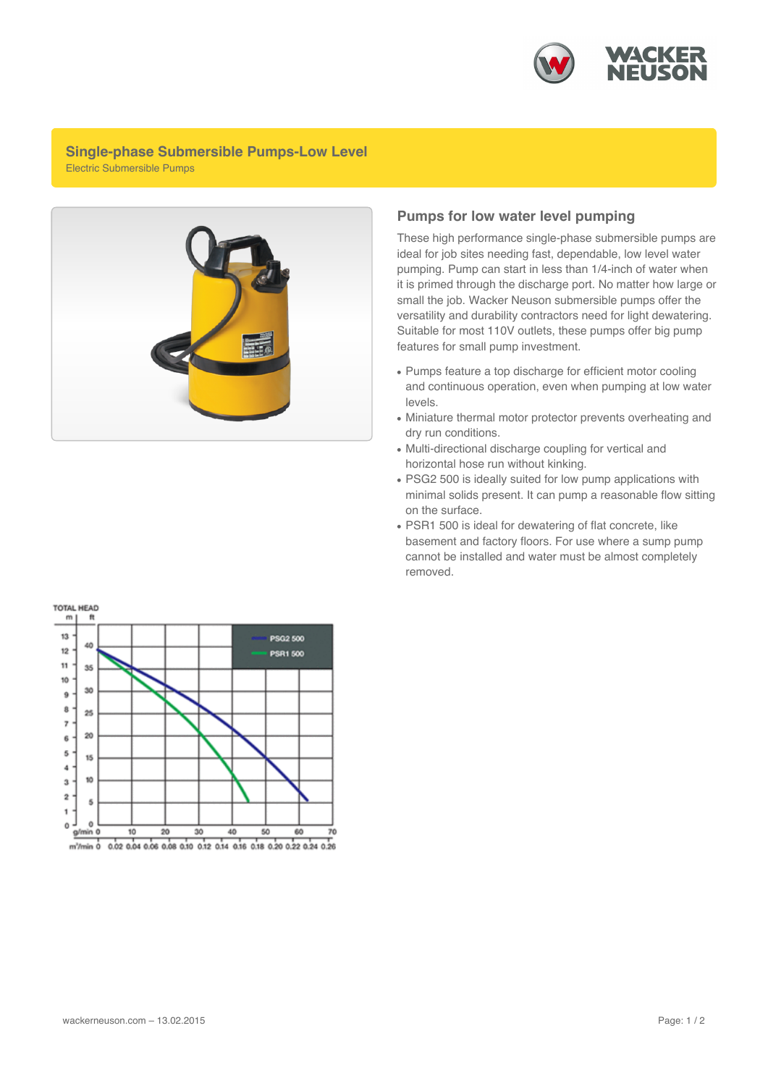

## **Single-phase Submersible Pumps-Low Level** Electric Submersible Pumps



## **Pumps for low water level pumping**

These high performance single-phase submersible pumps are ideal for job sites needing fast, dependable, low level water pumping. Pump can start in less than 1/4-inch of water when it is primed through the discharge port. No matter how large or small the job. Wacker Neuson submersible pumps offer the versatility and durability contractors need for light dewatering. Suitable for most 110V outlets, these pumps offer big pump features for small pump investment.

- Pumps feature a top discharge for efficient motor cooling and continuous operation, even when pumping at low water levels.
- Miniature thermal motor protector prevents overheating and dry run conditions.
- Multi-directional discharge coupling for vertical and horizontal hose run without kinking.
- PSG2 500 is ideally suited for low pump applications with minimal solids present. It can pump a reasonable flow sitting on the surface.
- PSR1 500 is ideal for dewatering of flat concrete, like basement and factory floors. For use where a sump pump cannot be installed and water must be almost completely removed.